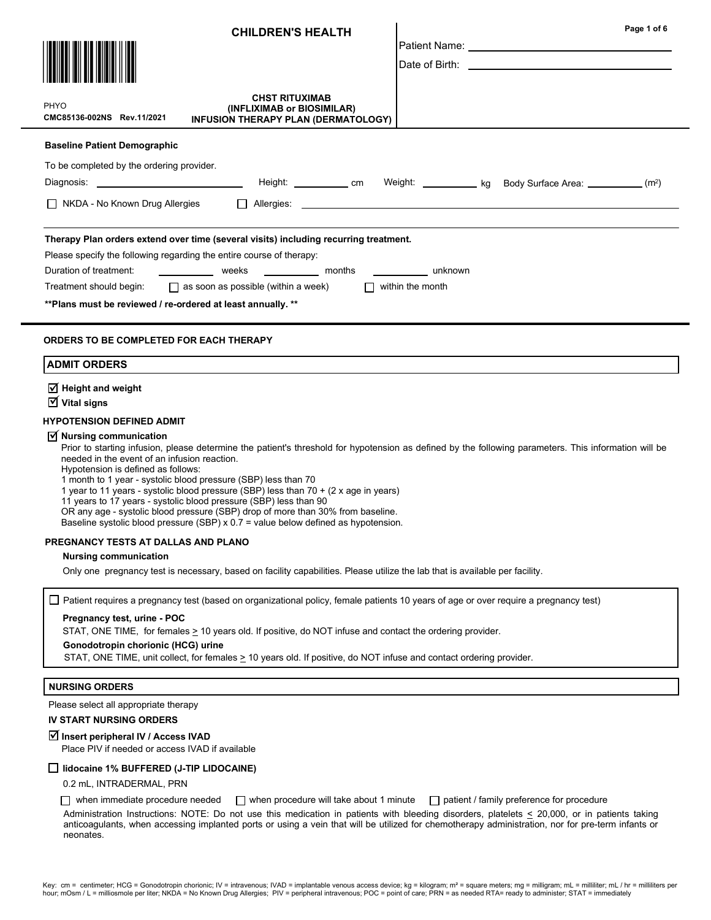|                                                                                                                                                                                           | <b>CHILDREN'S HEALTH</b>                                                                                                                                                                                                                                                                                                                                                                                                                                                                                                                                        |                                    | Page 1 of 6<br>Date of Birth: the contract of the contract of the contract of the contract of the contract of the contract of the contract of the contract of the contract of the contract of the contract of the contract of the contract of |
|-------------------------------------------------------------------------------------------------------------------------------------------------------------------------------------------|-----------------------------------------------------------------------------------------------------------------------------------------------------------------------------------------------------------------------------------------------------------------------------------------------------------------------------------------------------------------------------------------------------------------------------------------------------------------------------------------------------------------------------------------------------------------|------------------------------------|-----------------------------------------------------------------------------------------------------------------------------------------------------------------------------------------------------------------------------------------------|
| PHYO<br>CMC85136-002NS Rev.11/2021                                                                                                                                                        | <b>CHST RITUXIMAB</b><br>(INFLIXIMAB or BIOSIMILAR)<br>INFUSION THERAPY PLAN (DERMATOLOGY)                                                                                                                                                                                                                                                                                                                                                                                                                                                                      |                                    |                                                                                                                                                                                                                                               |
| <b>Baseline Patient Demographic</b>                                                                                                                                                       |                                                                                                                                                                                                                                                                                                                                                                                                                                                                                                                                                                 |                                    |                                                                                                                                                                                                                                               |
| To be completed by the ordering provider.                                                                                                                                                 |                                                                                                                                                                                                                                                                                                                                                                                                                                                                                                                                                                 |                                    |                                                                                                                                                                                                                                               |
|                                                                                                                                                                                           |                                                                                                                                                                                                                                                                                                                                                                                                                                                                                                                                                                 |                                    |                                                                                                                                                                                                                                               |
| NKDA - No Known Drug Allergies                                                                                                                                                            |                                                                                                                                                                                                                                                                                                                                                                                                                                                                                                                                                                 |                                    |                                                                                                                                                                                                                                               |
| Please specify the following regarding the entire course of therapy:<br>Duration of treatment:<br>Treatment should begin:<br>** Plans must be reviewed / re-ordered at least annually. ** | Therapy Plan orders extend over time (several visits) including recurring treatment.<br>weeks __________ months<br>$\Box$ as soon as possible (within a week)                                                                                                                                                                                                                                                                                                                                                                                                   | unknown<br>$\Box$ within the month |                                                                                                                                                                                                                                               |
| <b>ORDERS TO BE COMPLETED FOR EACH THERAPY</b><br><b>ADMIT ORDERS</b><br>$\overline{\triangleleft}$ Height and weight                                                                     |                                                                                                                                                                                                                                                                                                                                                                                                                                                                                                                                                                 |                                    |                                                                                                                                                                                                                                               |
| $\overline{\mathbf{y}}$ Vital signs                                                                                                                                                       |                                                                                                                                                                                                                                                                                                                                                                                                                                                                                                                                                                 |                                    |                                                                                                                                                                                                                                               |
| <b>HYPOTENSION DEFINED ADMIT</b><br>$\overline{M}$ Nursing communication<br>needed in the event of an infusion reaction.<br>Hypotension is defined as follows:                            | Prior to starting infusion, please determine the patient's threshold for hypotension as defined by the following parameters. This information will be<br>1 month to 1 year - systolic blood pressure (SBP) less than 70<br>1 year to 11 years - systolic blood pressure (SBP) less than 70 + (2 x age in years)<br>11 years to 17 years - systolic blood pressure (SBP) less than 90<br>OR any age - systolic blood pressure (SBP) drop of more than 30% from baseline.<br>Baseline systolic blood pressure (SBP) x $0.7$ = value below defined as hypotension. |                                    |                                                                                                                                                                                                                                               |
| PREGNANCY TESTS AT DALLAS AND PLANO                                                                                                                                                       |                                                                                                                                                                                                                                                                                                                                                                                                                                                                                                                                                                 |                                    |                                                                                                                                                                                                                                               |
| <b>Nursing communication</b>                                                                                                                                                              | Only one pregnancy test is necessary, based on facility capabilities. Please utilize the lab that is available per facility.                                                                                                                                                                                                                                                                                                                                                                                                                                    |                                    |                                                                                                                                                                                                                                               |
|                                                                                                                                                                                           | Patient requires a pregnancy test (based on organizational policy, female patients 10 years of age or over require a pregnancy test)                                                                                                                                                                                                                                                                                                                                                                                                                            |                                    |                                                                                                                                                                                                                                               |
| Pregnancy test, urine - POC<br>STAT, ONE TIME, for females > 10 years old. If positive, do NOT infuse and contact the ordering provider.                                                  |                                                                                                                                                                                                                                                                                                                                                                                                                                                                                                                                                                 |                                    |                                                                                                                                                                                                                                               |
| Gonodotropin chorionic (HCG) urine                                                                                                                                                        | STAT, ONE TIME, unit collect, for females > 10 years old. If positive, do NOT infuse and contact ordering provider.                                                                                                                                                                                                                                                                                                                                                                                                                                             |                                    |                                                                                                                                                                                                                                               |
| <b>NURSING ORDERS</b>                                                                                                                                                                     |                                                                                                                                                                                                                                                                                                                                                                                                                                                                                                                                                                 |                                    |                                                                                                                                                                                                                                               |
| Please select all appropriate therapy                                                                                                                                                     |                                                                                                                                                                                                                                                                                                                                                                                                                                                                                                                                                                 |                                    |                                                                                                                                                                                                                                               |
| <b>IV START NURSING ORDERS</b>                                                                                                                                                            |                                                                                                                                                                                                                                                                                                                                                                                                                                                                                                                                                                 |                                    |                                                                                                                                                                                                                                               |
| <b>Ø</b> Insert peripheral IV / Access IVAD<br>Place PIV if needed or access IVAD if available                                                                                            |                                                                                                                                                                                                                                                                                                                                                                                                                                                                                                                                                                 |                                    |                                                                                                                                                                                                                                               |
| lidocaine 1% BUFFERED (J-TIP LIDOCAINE)                                                                                                                                                   |                                                                                                                                                                                                                                                                                                                                                                                                                                                                                                                                                                 |                                    |                                                                                                                                                                                                                                               |

0.2 mL, INTRADERMAL, PRN

when immediate procedure needed  $\Box$  when procedure will take about 1 minute  $\Box$  patient / family preference for procedure

Administration Instructions: NOTE: Do not use this medication in patients with bleeding disorders, platelets  $\leq$  20,000, or in patients taking anticoagulants, when accessing implanted ports or using a vein that will be utilized for chemotherapy administration, nor for pre-term infants or neonates.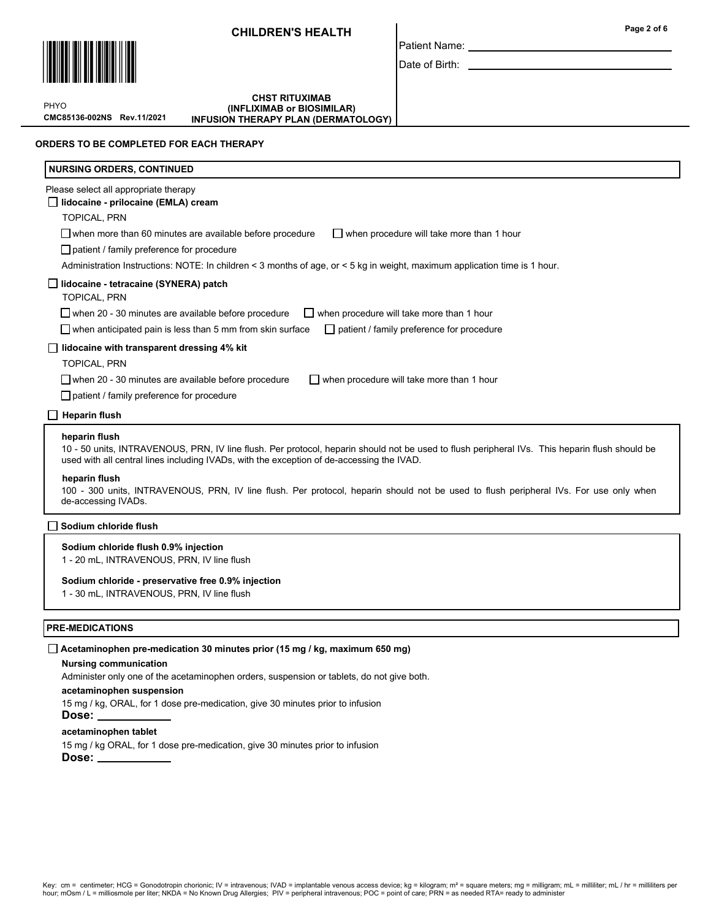

PHYO

CMC85136-002NS Rev.11/2021

## **CHST RITUXIMAB** (INFLIXIMAB or BIOSIMILAR) INFUSION THERAPY PLAN (DERMATOLOGY)

## ORDERS TO BE COMPLETED FOR EACH THERAPY

| <b>NURSING ORDERS, CONTINUED</b>                                                                                                                                                                                                                                                                                                                                                                                                                                      |
|-----------------------------------------------------------------------------------------------------------------------------------------------------------------------------------------------------------------------------------------------------------------------------------------------------------------------------------------------------------------------------------------------------------------------------------------------------------------------|
| Please select all appropriate therapy<br>$\Box$ lidocaine - prilocaine (EMLA) cream<br><b>TOPICAL, PRN</b>                                                                                                                                                                                                                                                                                                                                                            |
| $\Box$ when more than 60 minutes are available before procedure<br>$\Box$ when procedure will take more than 1 hour<br>$\Box$ patient / family preference for procedure<br>Administration Instructions: NOTE: In children < 3 months of age, or < 5 kg in weight, maximum application time is 1 hour.                                                                                                                                                                 |
| $\Box$ lidocaine - tetracaine (SYNERA) patch<br><b>TOPICAL, PRN</b><br>$\Box$ when 20 - 30 minutes are available before procedure<br>$\Box$ when procedure will take more than 1 hour<br>$\Box$ when anticipated pain is less than 5 mm from skin surface<br>patient / family preference for procedure<br>$\perp$                                                                                                                                                     |
| lidocaine with transparent dressing 4% kit<br><b>TOPICAL, PRN</b><br>$\Box$ when 20 - 30 minutes are available before procedure<br>when procedure will take more than 1 hour<br>patient / family preference for procedure                                                                                                                                                                                                                                             |
| <b>Heparin flush</b><br>heparin flush<br>10 - 50 units, INTRAVENOUS, PRN, IV line flush. Per protocol, heparin should not be used to flush peripheral IVs. This heparin flush should be<br>used with all central lines including IVADs, with the exception of de-accessing the IVAD.<br>heparin flush<br>100 - 300 units, INTRAVENOUS, PRN, IV line flush. Per protocol, heparin should not be used to flush peripheral IVs. For use only when<br>de-accessing IVADs. |
| Sodium chloride flush                                                                                                                                                                                                                                                                                                                                                                                                                                                 |
| Sodium chloride flush 0.9% injection<br>$\mathbf{r}$ $\mathbf{r}$ $\mathbf{r}$ $\mathbf{r}$ $\mathbf{r}$ $\mathbf{r}$ $\mathbf{r}$ $\mathbf{r}$ $\mathbf{r}$ $\mathbf{r}$ $\mathbf{r}$ $\mathbf{r}$ $\mathbf{r}$ $\mathbf{r}$ $\mathbf{r}$ $\mathbf{r}$ $\mathbf{r}$ $\mathbf{r}$ $\mathbf{r}$ $\mathbf{r}$ $\mathbf{r}$ $\mathbf{r}$ $\mathbf{r}$ $\mathbf{r}$ $\mathbf{$                                                                                            |

## Sodium chloride - preservative free 0.9% injection

1 - 30 mL, INTRAVENOUS, PRN, IV line flush

## PRE-MEDICATIONS

## $\Box$  Acetaminophen pre-medication 30 minutes prior (15 mg / kg, maximum 650 mg)

## Nursing communication

Administer only one of the acetaminophen orders, suspension or tablets, do not give both.

## acetaminophen suspension

15 mg / kg, ORAL, for 1 dose pre-medication, give 30 minutes prior to infusion Dose:

## acetaminophen tablet

15 mg / kg ORAL, for 1 dose pre-medication, give 30 minutes prior to infusion Dose:

1 - 20 mL, INTRAVENOUS, PRN, IV line flush

# Key: cm = centimeter; HCG = Gonodotropin chorionic; IV = intravenous; IVAD = implantable venous access device; kg = kilogram; m² = square meters; mg = milligram; mL = milliliter; mL / hr = milliliter; mL / hr = millilite

## Date of Birth: \_

Patient Name: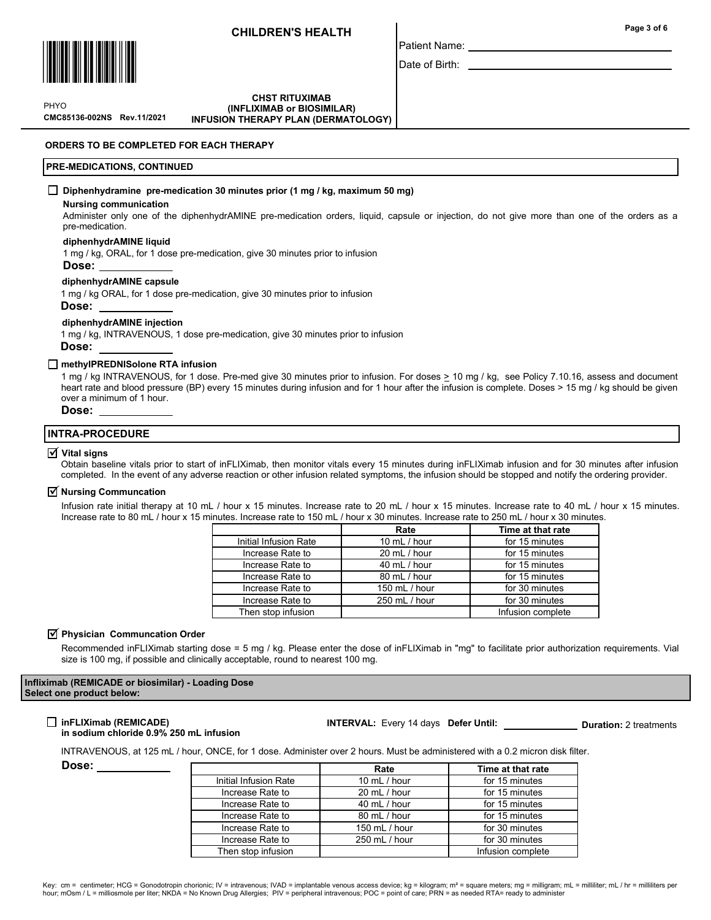

Patient Name:

Date of Birth:

CMC85136-002NS Rev.11/2021 PHYO

**CHST RITUXIMAB** (INFLIXIMAB or BIOSIMILAR) INFUSION THERAPY PLAN (DERMATOLOGY)

ORDERS TO BE COMPLETED FOR EACH THERAPY

## PRE-MEDICATIONS, CONTINUED

## $\Box$  Diphenhydramine pre-medication 30 minutes prior (1 mg / kg, maximum 50 mg)

#### Nursing communication

Administer only one of the diphenhydrAMINE pre-medication orders, liquid, capsule or injection, do not give more than one of the orders as a pre-medication.

## diphenhydrAMINE liquid

1 mg / kg, ORAL, for 1 dose pre-medication, give 30 minutes prior to infusion

#### Dose:

#### diphenhydrAMINE capsule

1 mg / kg ORAL, for 1 dose pre-medication, give 30 minutes prior to infusion

Dose:

#### diphenhydrAMINE injection

1 mg / kg, INTRAVENOUS, 1 dose pre-medication, give 30 minutes prior to infusion Dose:

#### □ methyIPREDNISolone RTA infusion

1 mg / kg INTRAVENOUS, for 1 dose. Pre-med give 30 minutes prior to infusion. For doses  $\geq$  10 mg / kg, see Policy 7.10.16, assess and document heart rate and blood pressure (BP) every 15 minutes during infusion and for 1 hour after the infusion is complete. Doses > 15 mg / kg should be given over a minimum of 1 hour.

Dose:

## INTRA-PROCEDURE

#### $\overline{\mathsf{V}}$  Vital signs

Obtain baseline vitals prior to start of inFLIXimab, then monitor vitals every 15 minutes during inFLIXimab infusion and for 30 minutes after infusion completed. In the event of any adverse reaction or other infusion related symptoms, the infusion should be stopped and notify the ordering provider.

#### **Ø** Nursing Communcation

Infusion rate initial therapy at 10 mL / hour x 15 minutes. Increase rate to 20 mL / hour x 15 minutes. Increase rate to 40 mL / hour x 15 minutes. Increase rate to 80 mL / hour x 15 minutes. Increase rate to 150 mL / hour x 30 minutes. Increase rate to 250 mL / hour x 30 minutes.

|                       | Rate<br>Time at that rate |                   |  |
|-----------------------|---------------------------|-------------------|--|
| Initial Infusion Rate | 10 mL / hour              | for 15 minutes    |  |
| Increase Rate to      | 20 mL / hour              | for 15 minutes    |  |
| Increase Rate to      | 40 mL / hour              | for 15 minutes    |  |
| Increase Rate to      | 80 mL / hour              | for 15 minutes    |  |
| Increase Rate to      | 150 mL / hour             | for 30 minutes    |  |
| Increase Rate to      | 250 mL / hour             | for 30 minutes    |  |
| Then stop infusion    |                           | Infusion complete |  |

#### $\overline{\mathbf{y}}$  Physician Communcation Order

Recommended inFLIXimab starting dose = 5 mg / kg. Please enter the dose of inFLIXimab in "mg" to facilitate prior authorization requirements. Vial size is 100 mg, if possible and clinically acceptable, round to nearest 100 mg.

### Infliximab (REMICADE or biosimilar) - Loading Dose Select one product below:

# $\Box$  inFLIXimab (REMICADE)

#### in sodium chloride 0.9% 250 mL infusion

#### INTERVAL: Every 14 days Defer Until: Duration: 2 treatments

INTRAVENOUS, at 125 mL / hour, ONCE, for 1 dose. Administer over 2 hours. Must be administered with a 0.2 micron disk filter.

Dose:

|                       | Rate          | Time at that rate                                                    |  |
|-----------------------|---------------|----------------------------------------------------------------------|--|
| Initial Infusion Rate | 10 mL / hour  | for 15 minutes                                                       |  |
| Increase Rate to      | 20 mL / hour  | for 15 minutes                                                       |  |
| Increase Rate to      | 40 mL / hour  | for 15 minutes<br>for 15 minutes<br>for 30 minutes<br>for 30 minutes |  |
| Increase Rate to      | 80 mL / hour  |                                                                      |  |
| Increase Rate to      | 150 mL / hour |                                                                      |  |
| Increase Rate to      | 250 mL / hour |                                                                      |  |
| Then stop infusion    |               | Infusion complete                                                    |  |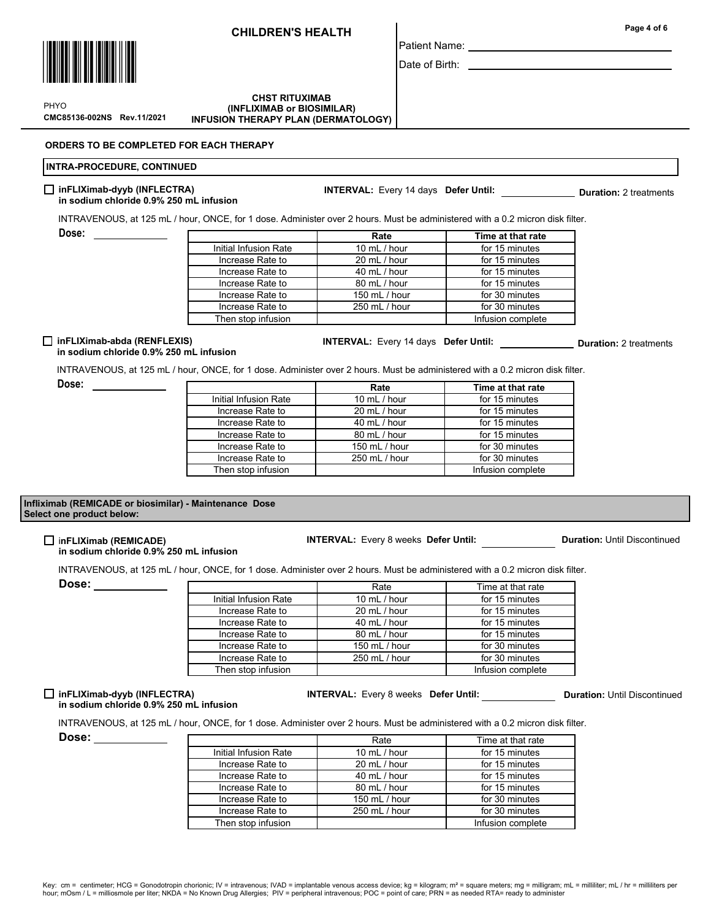

CMC85136-002NS Rev.11/2021 PHYO

**CHST RITUXIMAB** (INFLIXIMAB or BIOSIMILAR) INFUSION THERAPY PLAN (DERMATOLOGY)

ORDERS TO BE COMPLETED FOR EACH THERAPY

## INTRA-PROCEDURE, CONTINUED

#### $\Box$  inFLIXimab-dyyb (INFLECTRA) in sodium chloride 0.9% 250 mL infusion

INTRAVENOUS, at 125 mL / hour, ONCE, for 1 dose. Administer over 2 hours. Must be administered with a 0.2 micron disk filter.

|                       | Rate                           | Time at that rate |
|-----------------------|--------------------------------|-------------------|
| Initial Infusion Rate | 10 mL / hour<br>for 15 minutes |                   |
| Increase Rate to      | 20 mL / hour                   | for 15 minutes    |
| Increase Rate to      | 40 mL / hour                   | for 15 minutes    |
| Increase Rate to      | 80 mL / hour                   | for 15 minutes    |
| Increase Rate to      | 150 mL / hour                  | for 30 minutes    |
| Increase Rate to      | 250 mL / hour                  | for 30 minutes    |
| Then stop infusion    |                                | Infusion complete |

## $\Box$  inFLIXimab-abda (RENFLEXIS)

# INTERVAL: Every 14 days Defer Until: Duration: 2 treatments

Rate Time at that rate

# in sodium chloride 0.9% 250 mL infusion

 $\Gamma$ 

INTRAVENOUS, at 125 mL / hour, ONCE, for 1 dose. Administer over 2 hours. Must be administered with a 0.2 micron disk filter.

Dose: \_\_\_\_\_\_\_\_\_\_\_\_\_\_

Dose:

|                       | Rate          | Time at that rate |
|-----------------------|---------------|-------------------|
| Initial Infusion Rate | 10 mL / hour  | for 15 minutes    |
| Increase Rate to      | 20 mL / hour  | for 15 minutes    |
| Increase Rate to      | 40 mL / hour  | for 15 minutes    |
| Increase Rate to      | 80 mL / hour  | for 15 minutes    |
| Increase Rate to      | 150 mL / hour | for 30 minutes    |
| Increase Rate to      | 250 mL / hour | for 30 minutes    |
| Then stop infusion    |               | Infusion complete |
|                       |               |                   |

## Infliximab (REMICADE or biosimilar) - Maintenance Dose Select one product below:

#### inFLIXimab (REMICADE) in sodium chloride 0.9% 250 mL infusion

INTERVAL: Every 8 weeks Defer Until: Duration: Until Discontinued

INTRAVENOUS, at 125 mL / hour, ONCE, for 1 dose. Administer over 2 hours. Must be administered with a 0.2 micron disk filter.

Dose:

|                       | Rate                           | Time at that rate |  |
|-----------------------|--------------------------------|-------------------|--|
| Initial Infusion Rate | 10 mL / hour                   | for 15 minutes    |  |
| Increase Rate to      | 20 mL / hour                   | for 15 minutes    |  |
| Increase Rate to      | 40 mL / hour<br>for 15 minutes |                   |  |
| Increase Rate to      | 80 mL / hour                   | for 15 minutes    |  |
| Increase Rate to      | 150 mL / hour                  | for 30 minutes    |  |
| Increase Rate to      | 250 mL / hour                  | for 30 minutes    |  |
| Then stop infusion    |                                | Infusion complete |  |

## $\Box$  inFLIXimab-dyyb (INFLECTRA) in sodium chloride 0.9% 250 mL infusion

INTRAVENOUS, at 125 mL / hour, ONCE, for 1 dose. Administer over 2 hours. Must be administered with a 0.2 micron disk filter.

Dose:

|                       | Rate           | Time at that rate |  |
|-----------------------|----------------|-------------------|--|
| Initial Infusion Rate | 10 $mL / hour$ | for 15 minutes    |  |
| Increase Rate to      | 20 mL / hour   | for 15 minutes    |  |
| Increase Rate to      | 40 mL / hour   | for 15 minutes    |  |
| Increase Rate to      | 80 mL / hour   | for 15 minutes    |  |
| Increase Rate to      | 150 mL / hour  | for 30 minutes    |  |
| Increase Rate to      | 250 mL / hour  | for 30 minutes    |  |
| Then stop infusion    |                | Infusion complete |  |

Patient Name:

Date of Birth:

INTERVAL: Every 14 days Defer Until: \_\_\_\_\_\_\_\_\_\_\_\_\_\_\_\_\_\_\_\_ Duration: 2 treatments

INTERVAL: Every 8 weeks Defer Until: Duration: Until Discontinued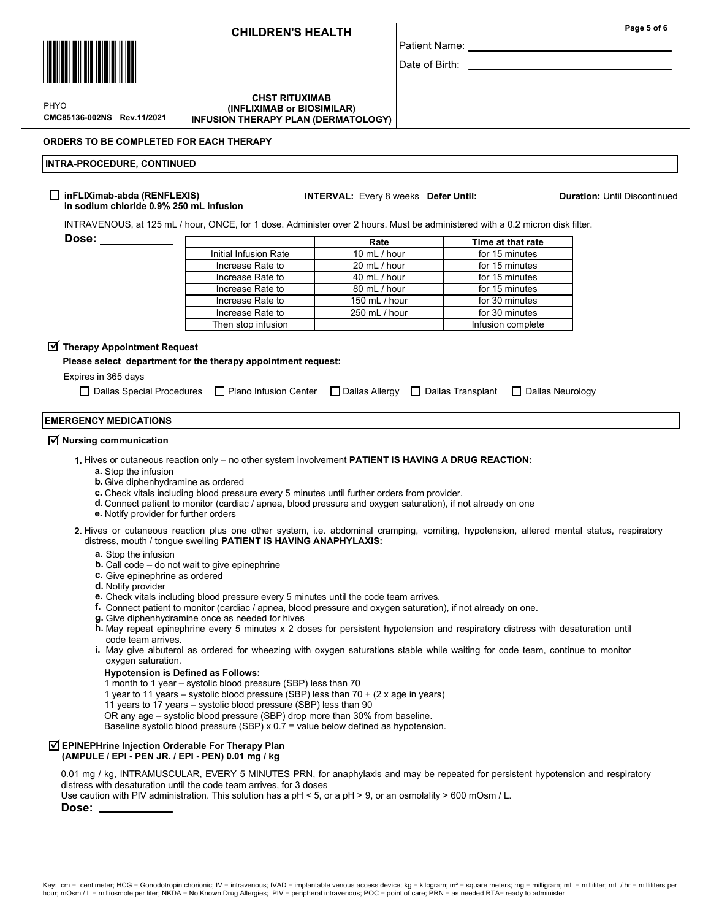

Patient Name:

Date of Birth:

CMC85136-002NS Rev.11/2021 PHYO

Dose:

**CHST RITUXIMAB** (INFLIXIMAB or BIOSIMILAR) INFUSION THERAPY PLAN (DERMATOLOGY)

## ORDERS TO BE COMPLETED FOR EACH THERAPY

## INTRA-PROCEDURE, CONTINUED

#### $\Box$  inFLIXimab-abda (RENFLEXIS) in sodium chloride 0.9% 250 mL infusion

INTERVAL: Every 8 weeks Defer Until: Duration: Until Discontinued

INTRAVENOUS, at 125 mL / hour, ONCE, for 1 dose. Administer over 2 hours. Must be administered with a 0.2 micron disk filter.

|                       | Rate                                                                                    | Time at that rate |  |
|-----------------------|-----------------------------------------------------------------------------------------|-------------------|--|
| Initial Infusion Rate | 10 mL / hour                                                                            | for 15 minutes    |  |
| Increase Rate to      | 20 mL / hour                                                                            | for 15 minutes    |  |
| Increase Rate to      | 40 mL / hour                                                                            | for 15 minutes    |  |
| Increase Rate to      | 80 mL / hour                                                                            | for 15 minutes    |  |
| Increase Rate to      | for 30 minutes<br>150 mL / hour<br>for 30 minutes<br>250 mL / hour<br>Infusion complete |                   |  |
| Increase Rate to      |                                                                                         |                   |  |
| Then stop infusion    |                                                                                         |                   |  |

# $\overline{\textbf{y}}$  Therapy Appointment Request

Please select department for the therapy appointment request:

# Expires in 365 days

| □ Dallas Special Procedures □ Plano Infusion Center □ Dallas Allergy □ Dallas Transplant □ Dallas Neurology |  |  |
|-------------------------------------------------------------------------------------------------------------|--|--|
|                                                                                                             |  |  |

## EMERGENCY MEDICATIONS

# $\overline{\mathbf{y}}$  Nursing communication

- 1. Hives or cutaneous reaction only no other system involvement PATIENT IS HAVING A DRUG REACTION:
	- a. Stop the infusion
	- **b.** Give diphenhydramine as ordered
	- c. Check vitals including blood pressure every 5 minutes until further orders from provider.
	- d. Connect patient to monitor (cardiac / apnea, blood pressure and oxygen saturation), if not already on one
	- e. Notify provider for further orders

2. Hives or cutaneous reaction plus one other system, i.e. abdominal cramping, vomiting, hypotension, altered mental status, respiratory distress, mouth / tongue swelling PATIENT IS HAVING ANAPHYLAXIS:

- a. Stop the infusion
- **b.** Call code  $-$  do not wait to give epinephrine
- c. Give epinephrine as ordered
- d. Notify provider
- e. Check vitals including blood pressure every 5 minutes until the code team arrives.
- f. Connect patient to monitor (cardiac / apnea, blood pressure and oxygen saturation), if not already on one.
- g. Give diphenhydramine once as needed for hives
- h. May repeat epinephrine every 5 minutes x 2 doses for persistent hypotension and respiratory distress with desaturation until code team arrives.
- **i.** May give albuterol as ordered for wheezing with oxygen saturations stable while waiting for code team, continue to monitor oxygen saturation.

### Hypotension is Defined as Follows:

- 1 month to 1 year systolic blood pressure (SBP) less than 70
- 1 year to 11 years systolic blood pressure (SBP) less than 70 + (2 x age in years)
- 11 years to 17 years systolic blood pressure (SBP) less than 90
- OR any age systolic blood pressure (SBP) drop more than 30% from baseline.

Baseline systolic blood pressure (SBP)  $x$  0.7 = value below defined as hypotension.

#### $\overline{\triangleleft}$  EPINEPHrine Injection Orderable For Therapy Plan (AMPULE / EPI - PEN JR. / EPI - PEN) 0.01 mg / kg

0.01 mg / kg, INTRAMUSCULAR, EVERY 5 MINUTES PRN, for anaphylaxis and may be repeated for persistent hypotension and respiratory distress with desaturation until the code team arrives, for 3 doses

Use caution with PIV administration. This solution has a pH < 5, or a pH > 9, or an osmolality > 600 mOsm / L.

## Dose:

Page 5 of 6